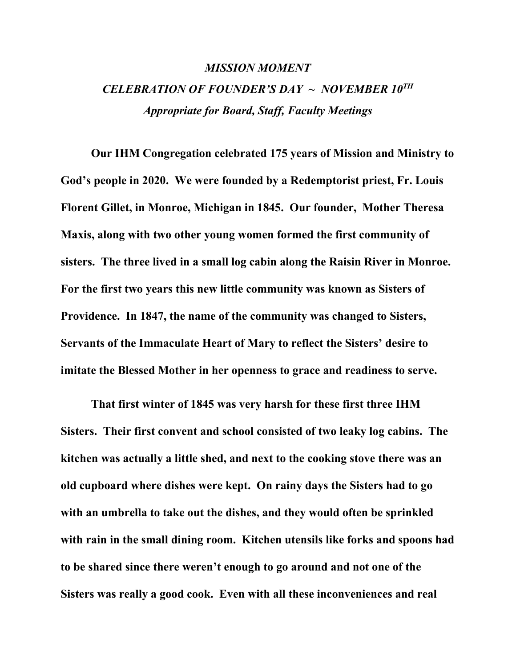## *MISSION MOMENT CELEBRATION OF FOUNDER'S DAY ~ NOVEMBER 10TH Appropriate for Board, Staff, Faculty Meetings*

**Our IHM Congregation celebrated 175 years of Mission and Ministry to God's people in 2020. We were founded by a Redemptorist priest, Fr. Louis Florent Gillet, in Monroe, Michigan in 1845. Our founder, Mother Theresa Maxis, along with two other young women formed the first community of sisters. The three lived in a small log cabin along the Raisin River in Monroe. For the first two years this new little community was known as Sisters of Providence. In 1847, the name of the community was changed to Sisters, Servants of the Immaculate Heart of Mary to reflect the Sisters' desire to imitate the Blessed Mother in her openness to grace and readiness to serve.** 

**That first winter of 1845 was very harsh for these first three IHM Sisters. Their first convent and school consisted of two leaky log cabins. The kitchen was actually a little shed, and next to the cooking stove there was an old cupboard where dishes were kept. On rainy days the Sisters had to go with an umbrella to take out the dishes, and they would often be sprinkled with rain in the small dining room. Kitchen utensils like forks and spoons had to be shared since there weren't enough to go around and not one of the Sisters was really a good cook. Even with all these inconveniences and real**